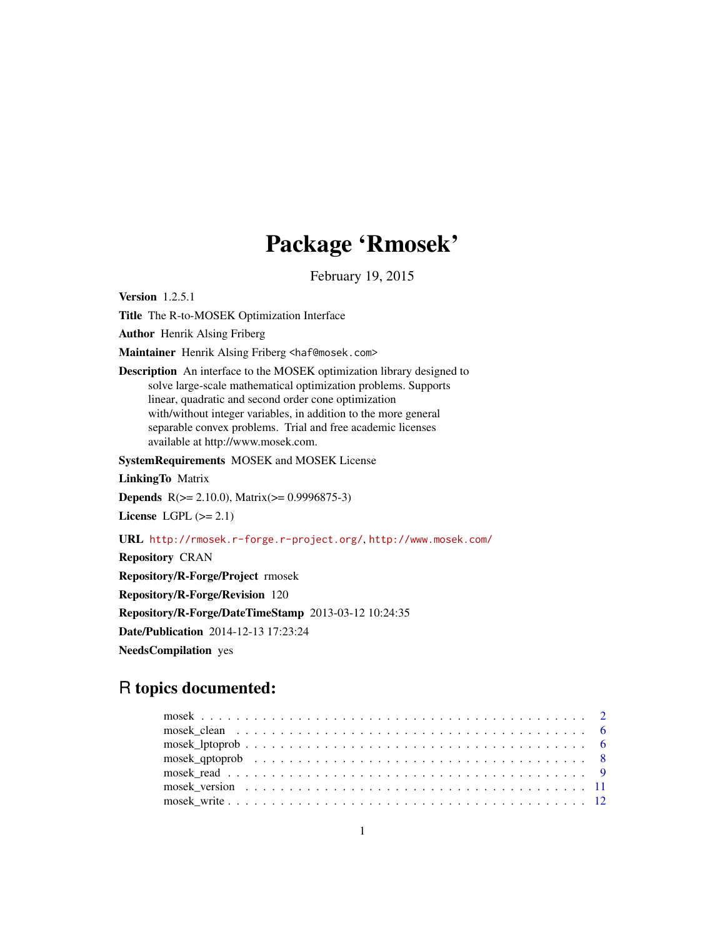## Package 'Rmosek'

February 19, 2015

Version 1.2.5.1

Title The R-to-MOSEK Optimization Interface

Author Henrik Alsing Friberg

Maintainer Henrik Alsing Friberg <haf@mosek.com>

Description An interface to the MOSEK optimization library designed to solve large-scale mathematical optimization problems. Supports linear, quadratic and second order cone optimization with/without integer variables, in addition to the more general separable convex problems. Trial and free academic licenses available at http://www.mosek.com.

SystemRequirements MOSEK and MOSEK License

LinkingTo Matrix

Depends R(>= 2.10.0), Matrix(>= 0.9996875-3)

License LGPL  $(>= 2.1)$ 

URL <http://rmosek.r-forge.r-project.org/>, <http://www.mosek.com/>

Repository CRAN

Repository/R-Forge/Project rmosek

Repository/R-Forge/Revision 120

Repository/R-Forge/DateTimeStamp 2013-03-12 10:24:35

Date/Publication 2014-12-13 17:23:24

NeedsCompilation yes

### R topics documented:

| $mosek_q$ aptoprob $\ldots \ldots \ldots \ldots \ldots \ldots \ldots \ldots \ldots \ldots \ldots \ldots$ |  |
|----------------------------------------------------------------------------------------------------------|--|
|                                                                                                          |  |
|                                                                                                          |  |
|                                                                                                          |  |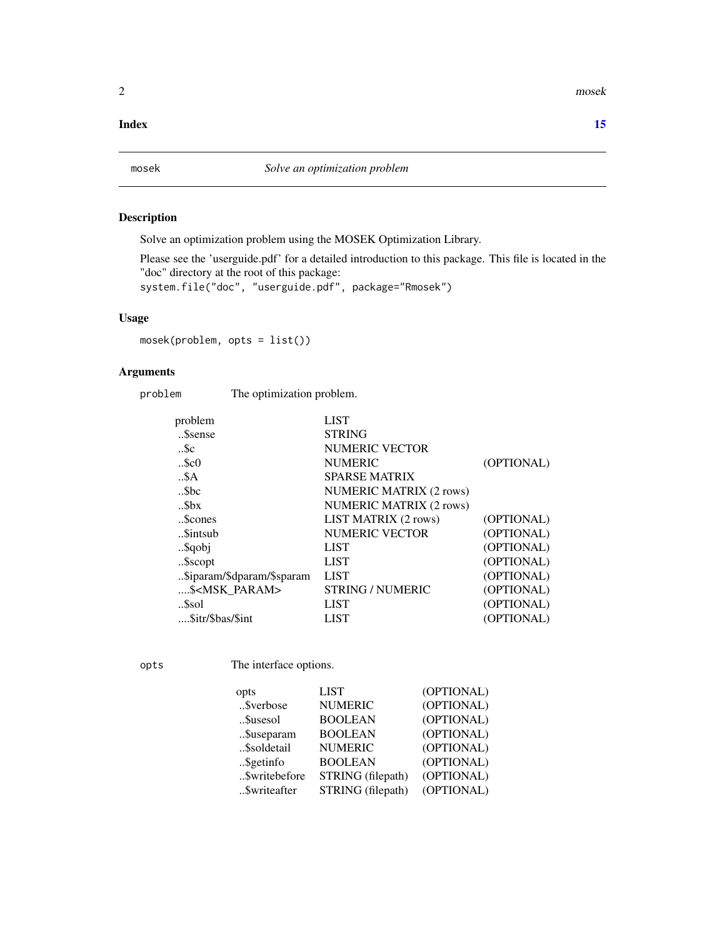<span id="page-1-0"></span>2 mose has a mose has a mose has a mose has a mose has a mose has a mose has a mose has a mose has a mose has  $m$ 

#### **Index** [15](#page-14-0)

<span id="page-1-1"></span>

#### Description

Solve an optimization problem using the MOSEK Optimization Library.

Please see the 'userguide.pdf' for a detailed introduction to this package. This file is located in the "doc" directory at the root of this package:

system.file("doc", "userguide.pdf", package="Rmosek")

#### Usage

mosek(problem, opts = list())

#### Arguments

problem The optimization problem.

| problem                    | <b>LIST</b>                    |            |
|----------------------------|--------------------------------|------------|
| Ssense                     | <b>STRING</b>                  |            |
| $$ Sc                      | <b>NUMERIC VECTOR</b>          |            |
| $$ \$c $0$                 | <b>NUMERIC</b>                 | (OPTIONAL) |
| .5A                        | <b>SPARSE MATRIX</b>           |            |
| $$ Sbc                     | <b>NUMERIC MATRIX (2 rows)</b> |            |
| $$ \$bx                    | <b>NUMERIC MATRIX (2 rows)</b> |            |
| \$cones                    | LIST MATRIX (2 rows)           | (OPTIONAL) |
| Sintsub                    | <b>NUMERIC VECTOR</b>          | (OPTIONAL) |
| \$qobj                     | <b>LIST</b>                    | (OPTIONAL) |
| \$scopt                    | <b>LIST</b>                    | (OPTIONAL) |
| \$iparam/\$dparam/\$sparam | <b>LIST</b>                    | (OPTIONAL) |
| \$ <msk param=""></msk>    | <b>STRING / NUMERIC</b>        | (OPTIONAL) |
| Ssol                       | <b>LIST</b>                    | (OPTIONAL) |
| \$itr/\$bas/\$int          | <b>LIST</b>                    | (OPTIONAL) |
|                            |                                |            |

opts The interface options.

| <b>LIST</b> | (OPTIONAL)                                                                                                                       |
|-------------|----------------------------------------------------------------------------------------------------------------------------------|
|             | (OPTIONAL)                                                                                                                       |
|             | (OPTIONAL)                                                                                                                       |
|             | (OPTIONAL)                                                                                                                       |
|             | (OPTIONAL)                                                                                                                       |
|             | (OPTIONAL)                                                                                                                       |
|             | (OPTIONAL)                                                                                                                       |
|             | (OPTIONAL)                                                                                                                       |
|             | <b>NUMERIC</b><br><b>BOOLEAN</b><br><b>BOOLEAN</b><br><b>NUMERIC</b><br><b>BOOLEAN</b><br>STRING (filepath)<br>STRING (filepath) |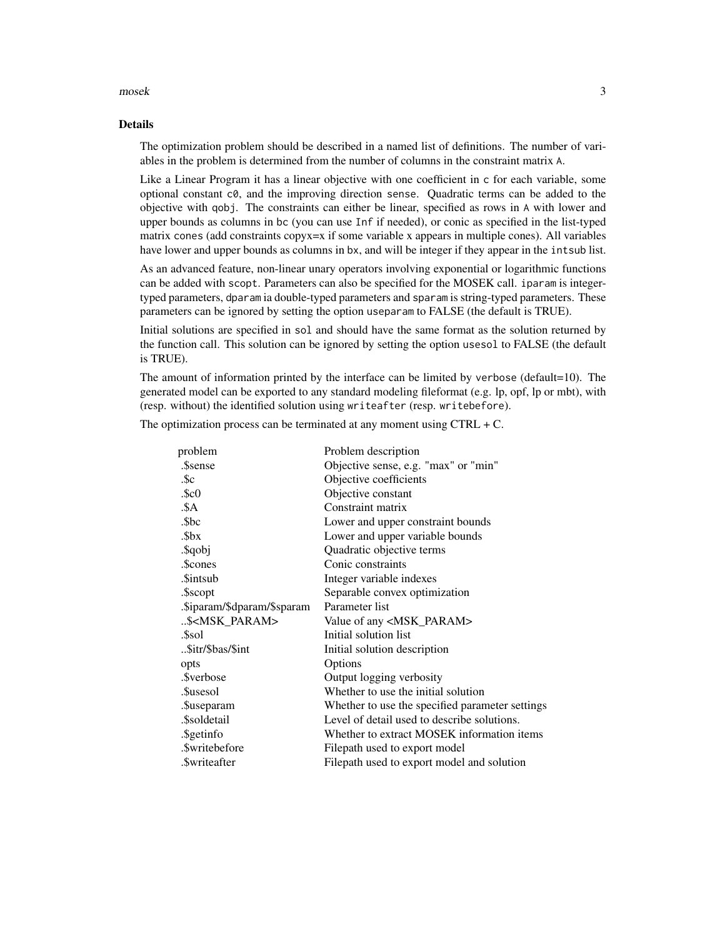#### $mose$  3

#### Details

The optimization problem should be described in a named list of definitions. The number of variables in the problem is determined from the number of columns in the constraint matrix A.

Like a Linear Program it has a linear objective with one coefficient in c for each variable, some optional constant c0, and the improving direction sense. Quadratic terms can be added to the objective with qobj. The constraints can either be linear, specified as rows in A with lower and upper bounds as columns in bc (you can use Inf if needed), or conic as specified in the list-typed matrix cones (add constraints copyx=x if some variable x appears in multiple cones). All variables have lower and upper bounds as columns in bx, and will be integer if they appear in the intsub list.

As an advanced feature, non-linear unary operators involving exponential or logarithmic functions can be added with scopt. Parameters can also be specified for the MOSEK call. iparam is integertyped parameters, dparam ia double-typed parameters and sparam is string-typed parameters. These parameters can be ignored by setting the option useparam to FALSE (the default is TRUE).

Initial solutions are specified in sol and should have the same format as the solution returned by the function call. This solution can be ignored by setting the option usesol to FALSE (the default is TRUE).

The amount of information printed by the interface can be limited by verbose (default=10). The generated model can be exported to any standard modeling fileformat (e.g. lp, opf, lp or mbt), with (resp. without) the identified solution using writeafter (resp. writebefore).

problem Problem description .\$sense Objective sense, e.g. "max" or "min" .\$c Objective coefficients .\$c0 Objective constant .\$A Constraint matrix .\$bc Lower and upper constraint bounds .\$bx Lower and upper variable bounds .\$qobj Quadratic objective terms .\$cones Conic constraints .\$intsub Integer variable indexes .\$scopt Separable convex optimization .\$iparam/\$dparam/\$sparam Parameter list ..\$<MSK\_PARAM> Value of any <MSK\_PARAM> .\$sol Initial solution list ..\$itr/\$bas/\$int Initial solution description opts Options .\$verbose Output logging verbosity .\$usesol Whether to use the initial solution .\$useparam Whether to use the specified parameter settings .\$soldetail Level of detail used to describe solutions. .\$getinfo Whether to extract MOSEK information items .\$writebefore Filepath used to export model .\$writeafter Filepath used to export model and solution

The optimization process can be terminated at any moment using  $CTRL + C$ .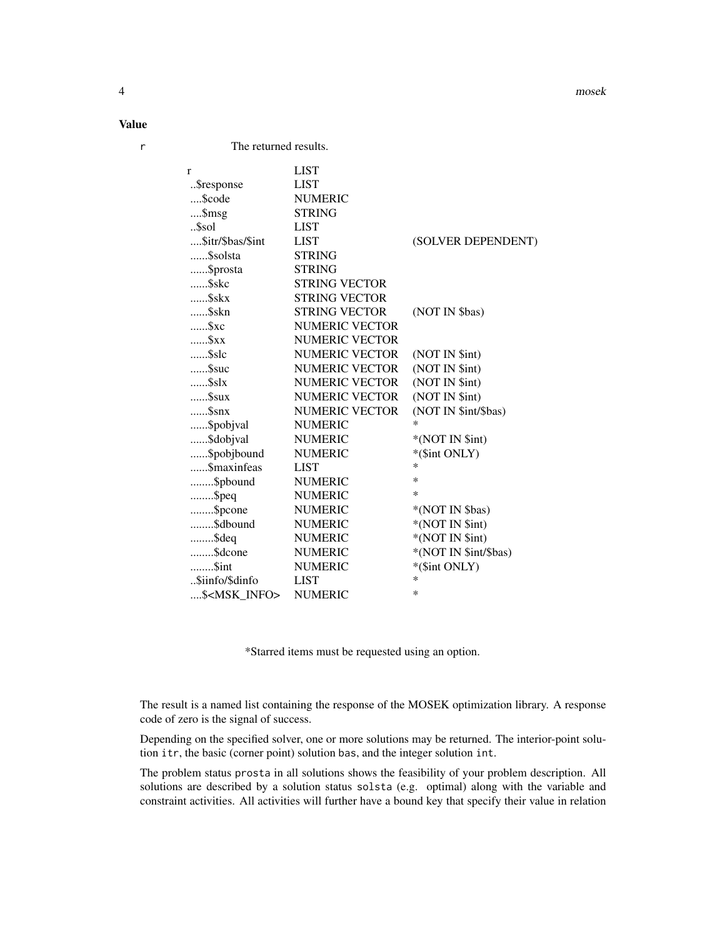Value

r The returned results.

| r                      | <b>LIST</b>           |                       |
|------------------------|-----------------------|-----------------------|
| \$response             | <b>LIST</b>           |                       |
| \$code                 | <b>NUMERIC</b>        |                       |
| \$msg                  | <b>STRING</b>         |                       |
| \$sol                  | <b>LIST</b>           |                       |
| \$itr/\$bas/\$int      | <b>LIST</b>           | (SOLVER DEPENDENT)    |
| \$solsta               | <b>STRING</b>         |                       |
| \$prosta               | <b>STRING</b>         |                       |
| \$skc                  | <b>STRING VECTOR</b>  |                       |
| \$skx                  | <b>STRING VECTOR</b>  |                       |
| \$skn                  | <b>STRING VECTOR</b>  | (NOT IN \$bas)        |
| \$xc                   | <b>NUMERIC VECTOR</b> |                       |
| $\ldots$ . $Sxx$       | <b>NUMERIC VECTOR</b> |                       |
| $\ldots$ \$slc         | <b>NUMERIC VECTOR</b> | (NOT IN \$int)        |
| Ssuc                   | <b>NUMERIC VECTOR</b> | (NOT IN \$int)        |
| $\$ slx                | NUMERIC VECTOR        | (NOT IN \$int)        |
| Ssux                   | <b>NUMERIC VECTOR</b> | (NOT IN \$int)        |
| $\$snx$                | NUMERIC VECTOR        | (NOT IN \$int/\$bas)  |
| \$pobjval              | <b>NUMERIC</b>        | $\ast$                |
| \$dobjval              | <b>NUMERIC</b>        | *(NOT IN \$int)       |
| \$pobjbound            | <b>NUMERIC</b>        | *(\$int ONLY)         |
| \$maxinfeas            | <b>LIST</b>           | *                     |
| \$pbound               | <b>NUMERIC</b>        | *                     |
| $$ \$peq               | <b>NUMERIC</b>        | $\ast$                |
| \$pcone                | <b>NUMERIC</b>        | *(NOT IN \$bas)       |
| \$dbound               | <b>NUMERIC</b>        | *(NOT IN \$int)       |
| $$ \$deq               | <b>NUMERIC</b>        | *(NOT IN \$int)       |
| \$dcone                | <b>NUMERIC</b>        | *(NOT IN \$int/\$bas) |
| \$int                  | <b>NUMERIC</b>        | *(\$int ONLY)         |
| \$iinfo/\$dinfo        | <b>LIST</b>           | *                     |
| \$ <msk info=""></msk> | <b>NUMERIC</b>        | $\ast$                |

\*Starred items must be requested using an option.

The result is a named list containing the response of the MOSEK optimization library. A response code of zero is the signal of success.

Depending on the specified solver, one or more solutions may be returned. The interior-point solution itr, the basic (corner point) solution bas, and the integer solution int.

The problem status prosta in all solutions shows the feasibility of your problem description. All solutions are described by a solution status solsta (e.g. optimal) along with the variable and constraint activities. All activities will further have a bound key that specify their value in relation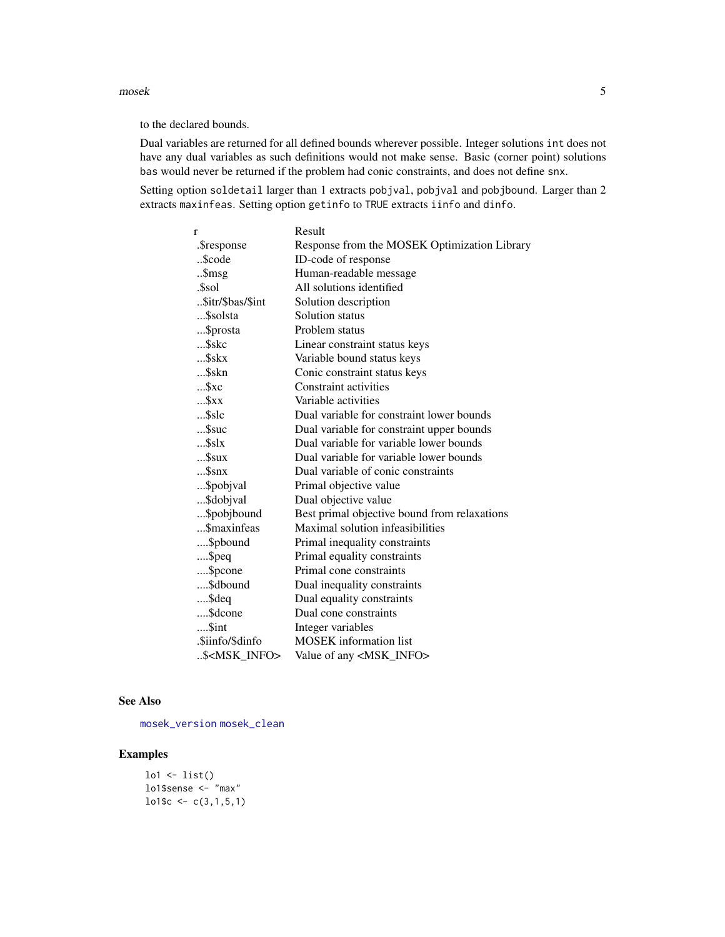<span id="page-4-0"></span>mosek 5

to the declared bounds.

Dual variables are returned for all defined bounds wherever possible. Integer solutions int does not have any dual variables as such definitions would not make sense. Basic (corner point) solutions bas would never be returned if the problem had conic constraints, and does not define snx.

Setting option soldetail larger than 1 extracts pobjval, pobjval and pobjbound. Larger than 2 extracts maxinfeas. Setting option getinfo to TRUE extracts iinfo and dinfo.

| r                      | Result                                       |
|------------------------|----------------------------------------------|
| .\$response            | Response from the MOSEK Optimization Library |
| \$code                 | ID-code of response                          |
| \$msg                  | Human-readable message                       |
| .\$sol                 | All solutions identified                     |
| \$itr/\$bas/\$int      | Solution description                         |
| \$solsta               | Solution status                              |
| \$prosta               | Problem status                               |
| …\$skc                 | Linear constraint status keys                |
| \$skx                  | Variable bound status keys                   |
| …\$skn                 | Conic constraint status keys                 |
| Sxc                    | <b>Constraint activities</b>                 |
| Sxx                    | Variable activities                          |
| \$slc                  | Dual variable for constraint lower bounds    |
| \$suc                  | Dual variable for constraint upper bounds    |
| $$ \$slx               | Dual variable for variable lower bounds      |
| $$ \$sux               | Dual variable for variable lower bounds      |
| $$ \$snx               | Dual variable of conic constraints           |
| \$pobjval              | Primal objective value                       |
| \$dobjval              | Dual objective value                         |
| \$pobjbound            | Best primal objective bound from relaxations |
| \$maxinfeas            | Maximal solution infeasibilities             |
| \$pbound               | Primal inequality constraints                |
| $$ \$peq               | Primal equality constraints                  |
| \$pcone                | Primal cone constraints                      |
| \$dbound               | Dual inequality constraints                  |
| \$deq                  | Dual equality constraints                    |
| \$dcone                | Dual cone constraints                        |
| \$int                  | Integer variables                            |
| .\$iinfo/\$dinfo       | <b>MOSEK</b> information list                |
| \$ <msk info=""></msk> | Value of any <msk_info></msk_info>           |

#### See Also

[mosek\\_version](#page-10-1) [mosek\\_clean](#page-5-1)

#### Examples

 $\text{lo1} \leftarrow \text{list}()$ lo1\$sense  $\leq$  "max"  $\text{lo1}\$  $\text{c} \leftarrow \text{c}(3,1,5,1)$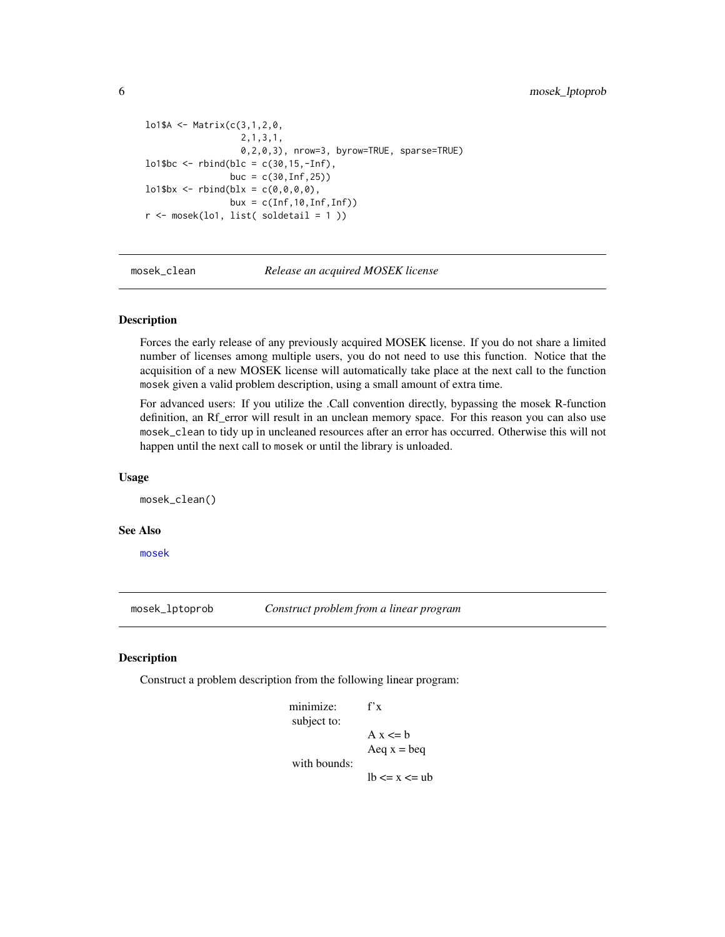```
lo1$A <- Matrix(c(3,1,2,0,
                   2,1,3,1,
                   0,2,0,3), nrow=3, byrow=TRUE, sparse=TRUE)
lo1$bc <- rbind(blc = c(30,15,-Inf),
                 buc = c(30, lnf, 25)\text{lo1\$bx} \leq \text{rbind}(b1x = c(0, 0, 0, 0),bux = c(Inf, 10, Inf, Inf))r <- mosek(lo1, list( soldetail = 1 ))
```
mosek\_clean *Release an acquired MOSEK license*

#### **Description**

Forces the early release of any previously acquired MOSEK license. If you do not share a limited number of licenses among multiple users, you do not need to use this function. Notice that the acquisition of a new MOSEK license will automatically take place at the next call to the function mosek given a valid problem description, using a small amount of extra time.

For advanced users: If you utilize the .Call convention directly, bypassing the mosek R-function definition, an Rf error will result in an unclean memory space. For this reason you can also use mosek\_clean to tidy up in uncleaned resources after an error has occurred. Otherwise this will not happen until the next call to mosek or until the library is unloaded.

#### Usage

mosek\_clean()

#### See Also

[mosek](#page-1-1)

<span id="page-5-2"></span>mosek\_lptoprob *Construct problem from a linear program*

#### **Description**

Construct a problem description from the following linear program:

```
minimize: f'x
subject to:
               A x \le bAeq x = beqwith bounds:
               lb \le x \le ub
```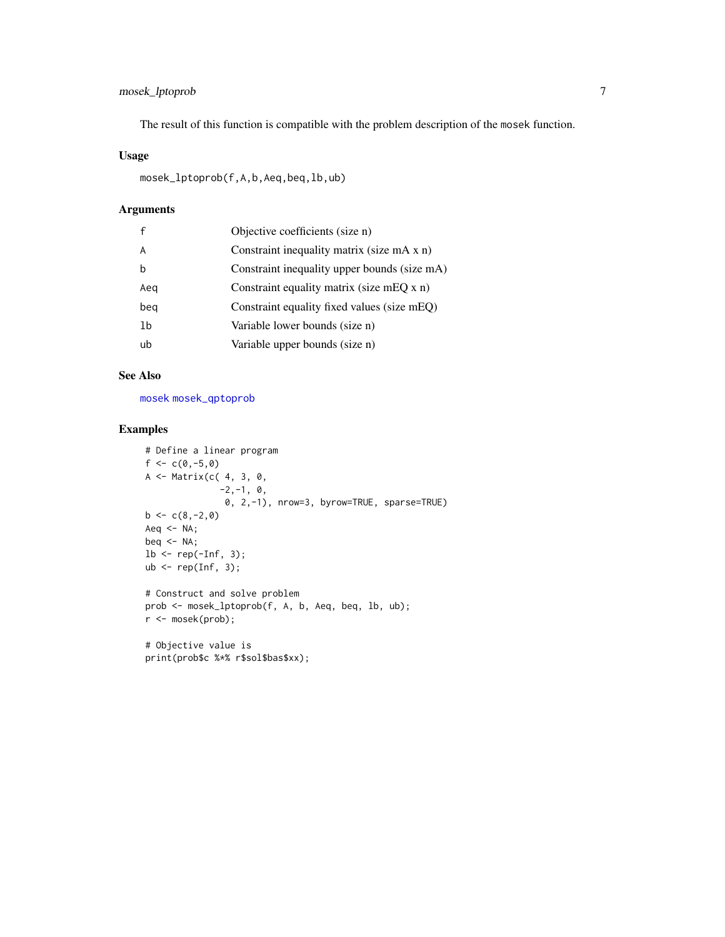#### <span id="page-6-0"></span>mosek\_lptoprob 7

The result of this function is compatible with the problem description of the mosek function.

#### Usage

```
mosek_lptoprob(f,A,b,Aeq,beq,lb,ub)
```
#### Arguments

|     | Objective coefficients (size n)              |
|-----|----------------------------------------------|
|     | Constraint inequality matrix (size mA x n)   |
| h   | Constraint inequality upper bounds (size mA) |
| Aeg | Constraint equality matrix (size mEQ x n)    |
| beg | Constraint equality fixed values (size mEQ)  |
| 1b  | Variable lower bounds (size n)               |
| ub  | Variable upper bounds (size n)               |
|     |                                              |

#### See Also

[mosek](#page-1-1) [mosek\\_qptoprob](#page-7-1)

print(prob\$c %\*% r\$sol\$bas\$xx);

#### Examples

```
# Define a linear program
f \leftarrow c(0,-5,0)A <- Matrix(c( 4, 3, 0,
               -2, -1, 0,0, 2,-1), nrow=3, byrow=TRUE, sparse=TRUE)
b \leftarrow c(8,-2,0)Aeq \leq NA;
beq \leq NA;
lb \leftarrow rep(-Inf, 3);ub \leq rep(Inf, 3);
# Construct and solve problem
prob <- mosek_lptoprob(f, A, b, Aeq, beq, lb, ub);
r <- mosek(prob);
# Objective value is
```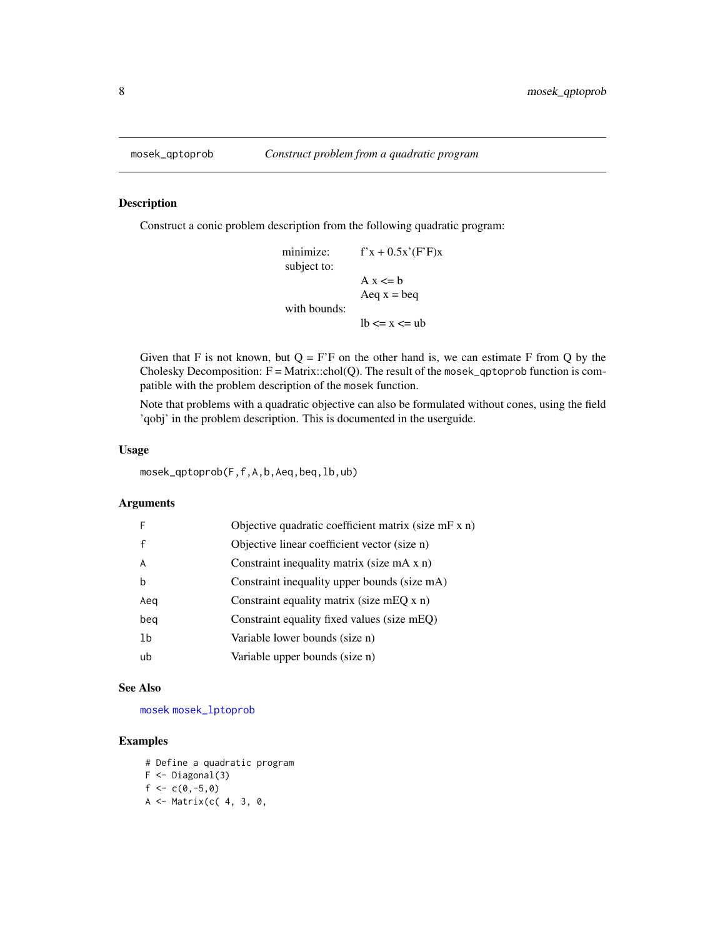#### Description

Construct a conic problem description from the following quadratic program:

```
minimize: f'x + 0.5x'(F'F)xsubject to:
              A x \le bAeq x = beqwith bounds:
              lb \le x \le ub
```
Given that F is not known, but  $Q = F'F$  on the other hand is, we can estimate F from Q by the Cholesky Decomposition:  $F = Matrix::chol(Q)$ . The result of the mosek\_qptoprob function is compatible with the problem description of the mosek function.

Note that problems with a quadratic objective can also be formulated without cones, using the field 'qobj' in the problem description. This is documented in the userguide.

#### Usage

```
mosek_qptoprob(F,f,A,b,Aeq,beq,lb,ub)
```
#### Arguments

| F   | Objective quadratic coefficient matrix (size mF x n) |
|-----|------------------------------------------------------|
| f   | Objective linear coefficient vector (size n)         |
| A   | Constraint inequality matrix (size mA x n)           |
| h   | Constraint inequality upper bounds (size mA)         |
| Aeq | Constraint equality matrix (size mEQ $x$ n)          |
| beg | Constraint equality fixed values (size mEQ)          |
| 1b  | Variable lower bounds (size n)                       |
| ub  | Variable upper bounds (size n)                       |
|     |                                                      |

#### See Also

[mosek](#page-1-1) [mosek\\_lptoprob](#page-5-2)

#### Examples

# Define a quadratic program F <- Diagonal(3)  $f \leftarrow c(0,-5,0)$ A <- Matrix(c( 4, 3, 0,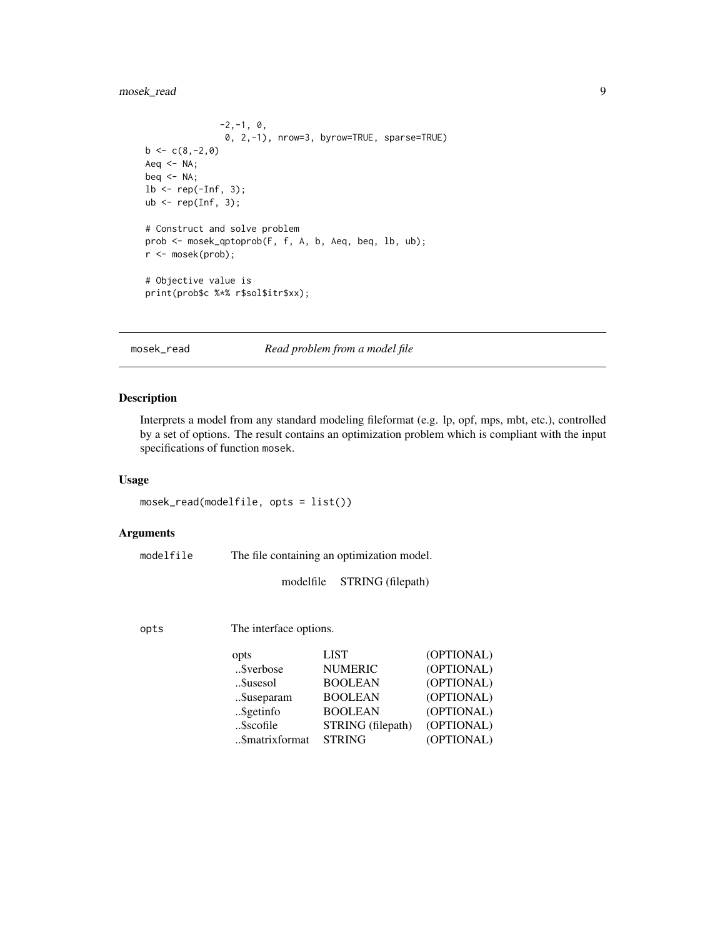#### <span id="page-8-0"></span>mosek\_read 9

```
-2, -1, 0,0, 2,-1), nrow=3, byrow=TRUE, sparse=TRUE)
b \leq c(8,-2,0)Aeq \leftarrow NA;beq \leq -NA;
lb \leftarrow rep(-Inf, 3);ub \leq rep(Inf, 3);
# Construct and solve problem
prob <- mosek_qptoprob(F, f, A, b, Aeq, beq, lb, ub);
r <- mosek(prob);
# Objective value is
print(prob$c %*% r$sol$itr$xx);
```
<span id="page-8-1"></span>mosek\_read *Read problem from a model file*

#### Description

Interprets a model from any standard modeling fileformat (e.g. lp, opf, mps, mbt, etc.), controlled by a set of options. The result contains an optimization problem which is compliant with the input specifications of function mosek.

#### Usage

```
mosek_read(modelfile, opts = list())
```
#### Arguments

```
modelfile The file containing an optimization model.
```
modelfile STRING (filepath)

opts The interface options.

| opts           | LIST              | (OPTIONAL) |
|----------------|-------------------|------------|
| \$verbose      | <b>NUMERIC</b>    | (OPTIONAL) |
| \$usesol       | <b>BOOLEAN</b>    | (OPTIONAL) |
| \$useparam     | <b>BOOLEAN</b>    | (OPTIONAL) |
| \$getinfo      | <b>BOOLEAN</b>    | (OPTIONAL) |
| \$scofile      | STRING (filepath) | (OPTIONAL) |
| \$matrixformat | <b>STRING</b>     | (OPTIONAL) |
|                |                   |            |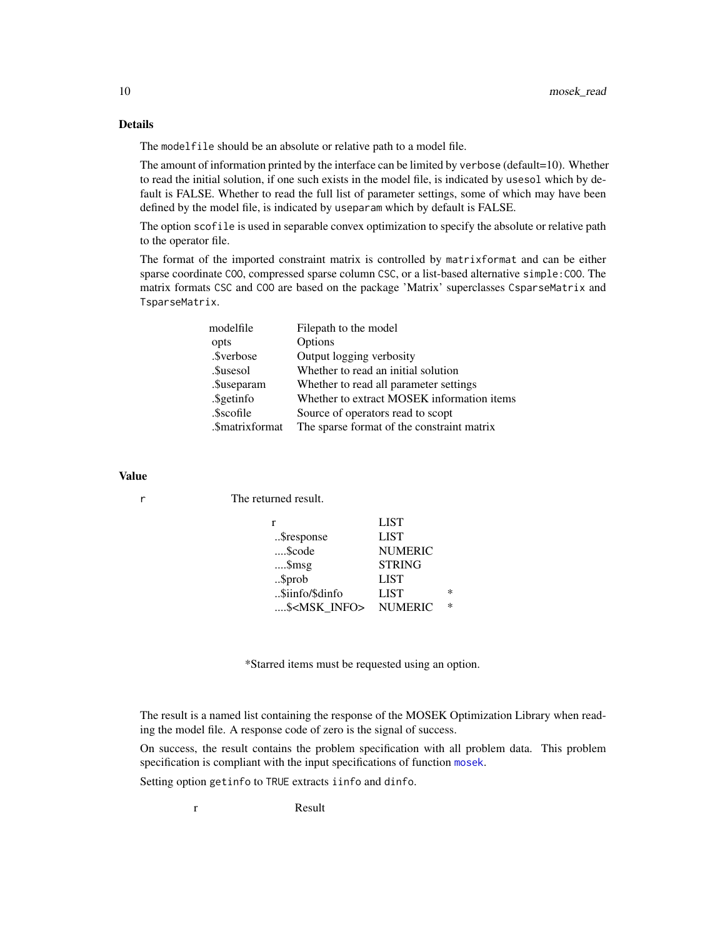#### Details

The modelfile should be an absolute or relative path to a model file.

The amount of information printed by the interface can be limited by verbose (default=10). Whether to read the initial solution, if one such exists in the model file, is indicated by usesol which by default is FALSE. Whether to read the full list of parameter settings, some of which may have been defined by the model file, is indicated by useparam which by default is FALSE.

The option scofile is used in separable convex optimization to specify the absolute or relative path to the operator file.

The format of the imported constraint matrix is controlled by matrixformat and can be either sparse coordinate COO, compressed sparse column CSC, or a list-based alternative simple:COO. The matrix formats CSC and COO are based on the package 'Matrix' superclasses CsparseMatrix and TsparseMatrix.

| modelfile       | Filepath to the model                      |
|-----------------|--------------------------------------------|
| opts            | Options                                    |
| .\$verbose      | Output logging verbosity                   |
| .\$usesol       | Whether to read an initial solution        |
| .\$useparam     | Whether to read all parameter settings     |
| .\$getinfo      | Whether to extract MOSEK information items |
| .\$scofile      | Source of operators read to scopt          |
| .\$matrixformat | The sparse format of the constraint matrix |

#### Value

r The returned result.

|                        | <b>LIST</b>    |   |
|------------------------|----------------|---|
| \$response             | <b>LIST</b>    |   |
| \$code                 | <b>NUMERIC</b> |   |
| $$ \$msg               | <b>STRING</b>  |   |
| \$prob                 | <b>LIST</b>    |   |
| \$iinfo/\$dinfo        | <b>LIST</b>    | ∗ |
| \$ <msk info=""></msk> | <b>NUMERIC</b> | ∗ |

\*Starred items must be requested using an option.

The result is a named list containing the response of the MOSEK Optimization Library when reading the model file. A response code of zero is the signal of success.

On success, the result contains the problem specification with all problem data. This problem specification is compliant with the input specifications of function [mosek](#page-1-1).

Setting option getinfo to TRUE extracts iinfo and dinfo.

r Result

<span id="page-9-0"></span>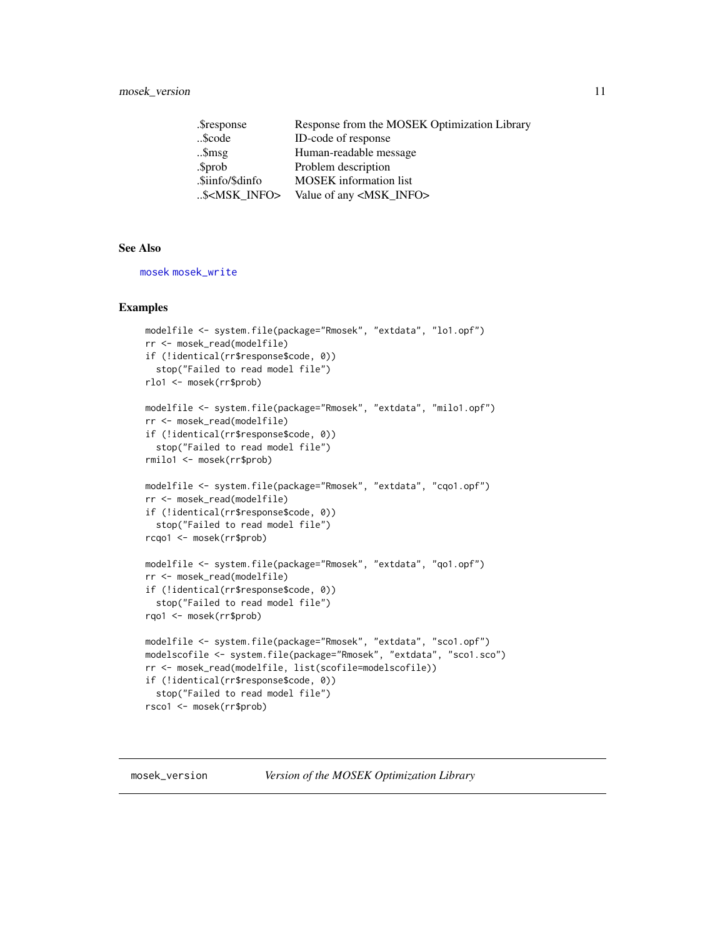<span id="page-10-0"></span>

| .\$response              | Response from the MOSEK Optimization Library |
|--------------------------|----------------------------------------------|
| \$code                   | ID-code of response                          |
| $$ \$msg                 | Human-readable message                       |
| .\$prob                  | Problem description                          |
| .\$iinfo/\$dinfo         | <b>MOSEK</b> information list                |
| \$ <msk_info></msk_info> | Value of any <msk_info></msk_info>           |

#### See Also

[mosek](#page-1-1) [mosek\\_write](#page-11-1)

#### Examples

```
modelfile <- system.file(package="Rmosek", "extdata", "lo1.opf")
rr <- mosek_read(modelfile)
if (!identical(rr$response$code, 0))
  stop("Failed to read model file")
rlo1 <- mosek(rr$prob)
modelfile <- system.file(package="Rmosek", "extdata", "milo1.opf")
rr <- mosek_read(modelfile)
if (!identical(rr$response$code, 0))
 stop("Failed to read model file")
rmilo1 <- mosek(rr$prob)
modelfile <- system.file(package="Rmosek", "extdata", "cqo1.opf")
rr <- mosek_read(modelfile)
if (!identical(rr$response$code, 0))
  stop("Failed to read model file")
rcqo1 <- mosek(rr$prob)
modelfile <- system.file(package="Rmosek", "extdata", "qo1.opf")
rr <- mosek_read(modelfile)
if (!identical(rr$response$code, 0))
 stop("Failed to read model file")
rqo1 <- mosek(rr$prob)
modelfile <- system.file(package="Rmosek", "extdata", "sco1.opf")
modelscofile <- system.file(package="Rmosek", "extdata", "sco1.sco")
rr <- mosek_read(modelfile, list(scofile=modelscofile))
if (!identical(rr$response$code, 0))
  stop("Failed to read model file")
rsco1 <- mosek(rr$prob)
```
<span id="page-10-1"></span>mosek\_version *Version of the MOSEK Optimization Library*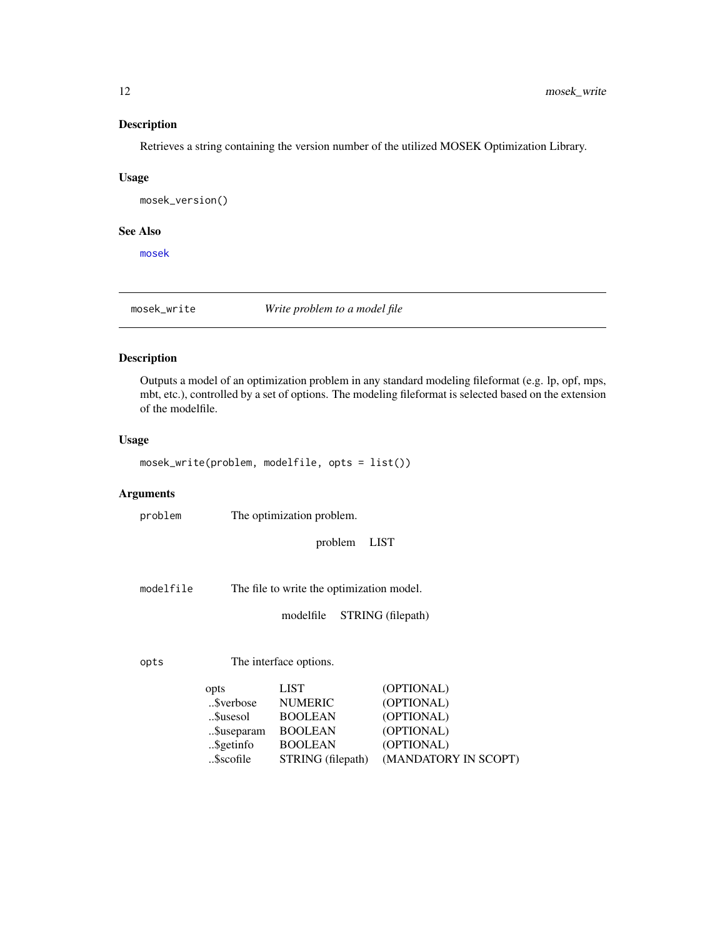#### <span id="page-11-0"></span>Description

Retrieves a string containing the version number of the utilized MOSEK Optimization Library.

#### Usage

mosek\_version()

#### See Also

[mosek](#page-1-1)

<span id="page-11-1"></span>mosek\_write *Write problem to a model file*

#### Description

Outputs a model of an optimization problem in any standard modeling fileformat (e.g. lp, opf, mps, mbt, etc.), controlled by a set of options. The modeling fileformat is selected based on the extension of the modelfile.

#### Usage

mosek\_write(problem, modelfile, opts = list())

#### Arguments

problem The optimization problem.

problem LIST

modelfile The file to write the optimization model.

modelfile STRING (filepath)

opts The interface options.

| opts       | <b>LIST</b>       | (OPTIONAL)           |
|------------|-------------------|----------------------|
| \$verbose  | <b>NUMERIC</b>    | (OPTIONAL)           |
| \$usesol   | <b>BOOLEAN</b>    | (OPTIONAL)           |
| \$useparam | <b>BOOLEAN</b>    | (OPTIONAL)           |
| \$getinfo  | <b>BOOLEAN</b>    | (OPTIONAL)           |
| \$scofile  | STRING (filepath) | (MANDATORY IN SCOPT) |
|            |                   |                      |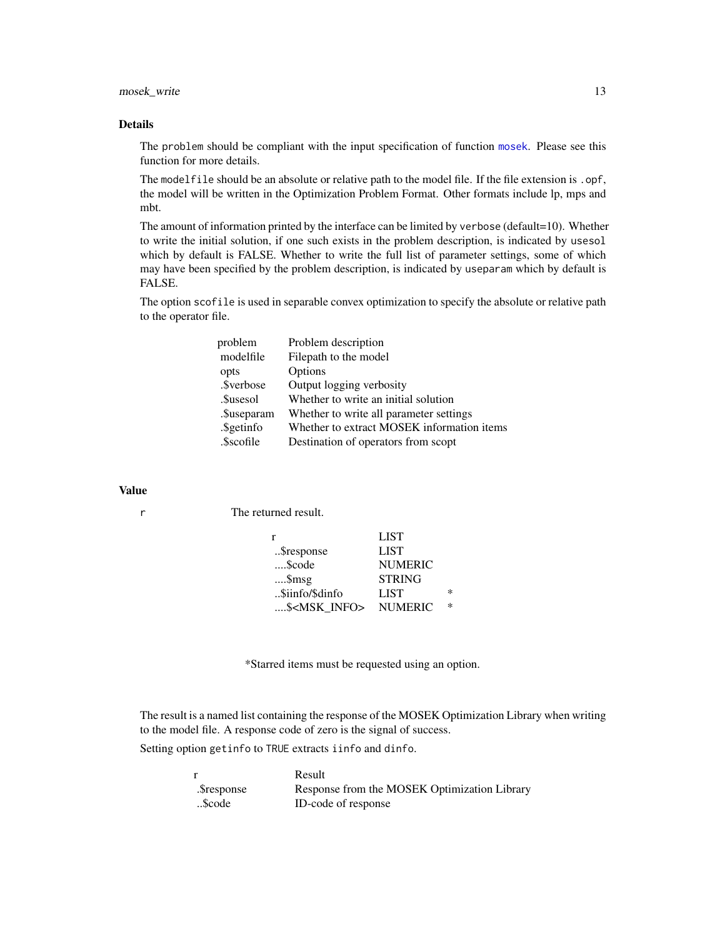#### mosek\_write 13

#### Details

The problem should be compliant with the input specification of function [mosek](#page-1-1). Please see this function for more details.

The modelfile should be an absolute or relative path to the model file. If the file extension is . opf, the model will be written in the Optimization Problem Format. Other formats include lp, mps and mbt.

The amount of information printed by the interface can be limited by verbose (default=10). Whether to write the initial solution, if one such exists in the problem description, is indicated by usesol which by default is FALSE. Whether to write the full list of parameter settings, some of which may have been specified by the problem description, is indicated by useparam which by default is FALSE.

The option scofile is used in separable convex optimization to specify the absolute or relative path to the operator file.

| problem     | Problem description                        |
|-------------|--------------------------------------------|
| modelfile   | Filepath to the model                      |
| opts        | Options                                    |
| .\$verbose  | Output logging verbosity                   |
| .\$usesol   | Whether to write an initial solution       |
| .\$useparam | Whether to write all parameter settings    |
| .\$getinfo  | Whether to extract MOSEK information items |
| .\$scofile  | Destination of operators from scopt        |

#### Value

r The returned result.

| r                      | <b>LIST</b>    |        |
|------------------------|----------------|--------|
| \$response             | <b>LIST</b>    |        |
| \$code                 | <b>NUMERIC</b> |        |
| $$ \$msg               | <b>STRING</b>  |        |
| \$iinfo/\$dinfo        | LIST           | $\ast$ |
| \$ <msk info=""></msk> | <b>NUMERIC</b> | $\ast$ |

\*Starred items must be requested using an option.

The result is a named list containing the response of the MOSEK Optimization Library when writing to the model file. A response code of zero is the signal of success.

Setting option getinfo to TRUE extracts iinfo and dinfo.

|             | Result                                       |
|-------------|----------------------------------------------|
| .\$response | Response from the MOSEK Optimization Library |
| Scode       | ID-code of response                          |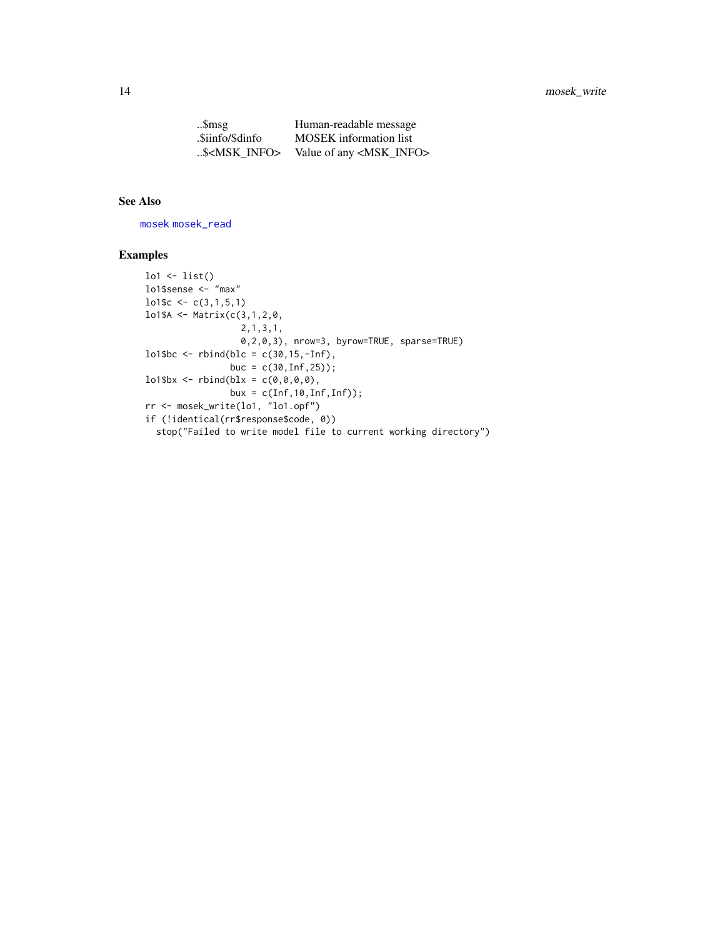#### <span id="page-13-0"></span>14 mosek\_write

| Smsg                   | Human-readable message             |
|------------------------|------------------------------------|
| .\$iinfo/\$dinfo       | <b>MOSEK</b> information list      |
| \$ <msk info=""></msk> | Value of any <msk_info></msk_info> |

#### See Also

[mosek](#page-1-1) [mosek\\_read](#page-8-1)

#### Examples

```
lo1 <- list()
lo1$sense <- "max"
lo1$c <- c(3,1,5,1)
lo1$A <- Matrix(c(3,1,2,0,
                  2,1,3,1,
                  0,2,0,3), nrow=3, byrow=TRUE, sparse=TRUE)
lo1$bc <- rbind(blc = c(30,15,-Inf),
                buc = c(30, lnf, 25);
lo1$bx <- rbind(blx = c(0,0,0,0),
                bux = c(Inf, 10, Inf, Inf));rr <- mosek_write(lo1, "lo1.opf")
if (!identical(rr$response$code, 0))
  stop("Failed to write model file to current working directory")
```